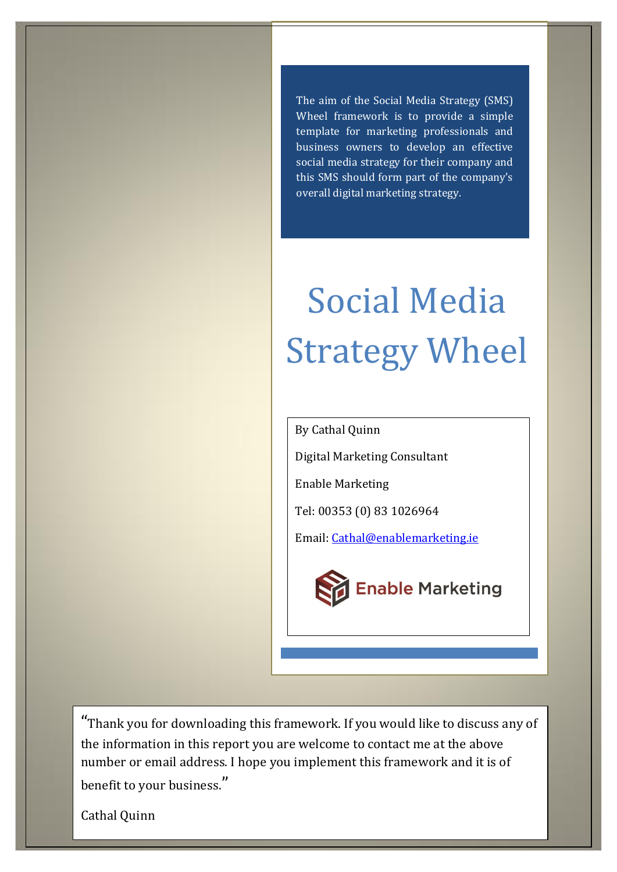The aim of the Social Media Strategy (SMS) Wheel framework is to provide a simple template for marketing professionals and business owners to develop an effective social media strategy for their company and this SMS should form part of the company's overall digital marketing strategy.

# Social Media Strategy Wheel

By Cathal Quinn

Digital Marketing Consultant

Enable Marketing

Tel: 00353 (0) 83 1026964

Email: [Cathal@enablemarketing.ie](mailto:Cathal@enablemarketing.ie)



"Thank you for downloading this framework. If you would like to discuss any of the information in this report you are welcome to contact me at the above number or email address. I hope you implement this framework and it is of benefit to your business."

Cathal Quinn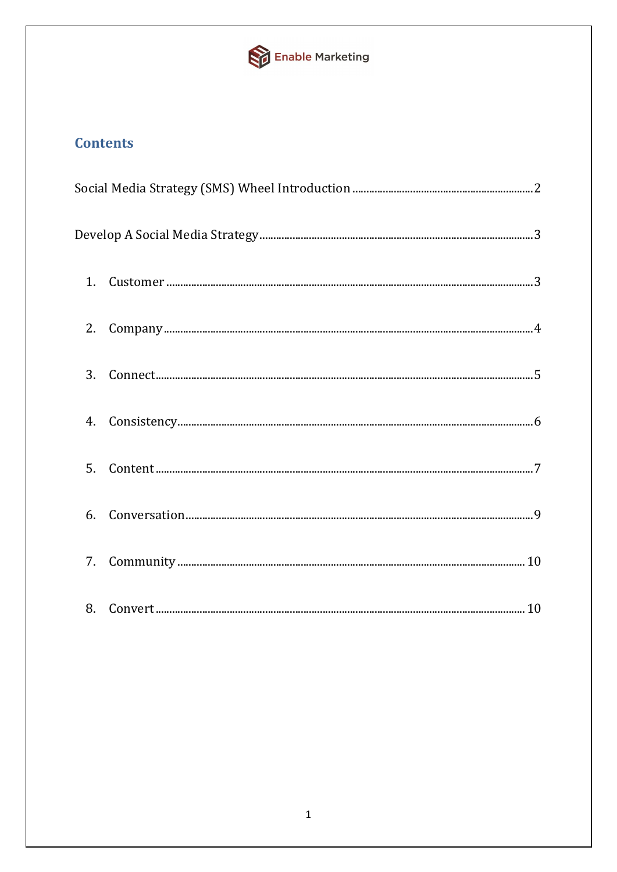

# **Contents**

| 1.             |  |
|----------------|--|
| 2.             |  |
| $\mathbf{3}$ . |  |
| 4.             |  |
| 5.             |  |
| 6.             |  |
| 7.             |  |
|                |  |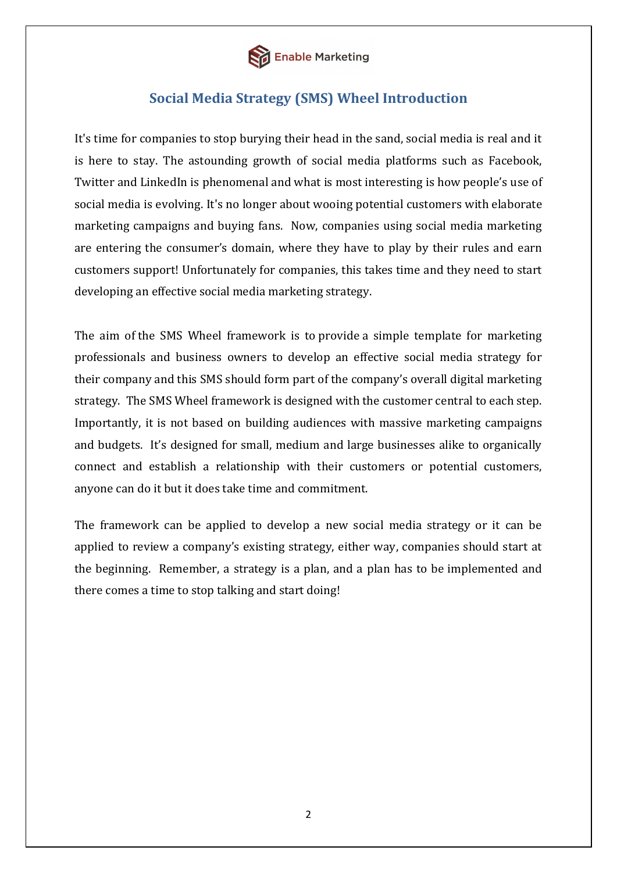

# **Social Media Strategy (SMS) Wheel Introduction**

<span id="page-2-0"></span>It's time for companies to stop burying their head in the sand, social media is real and it is here to stay. The astounding growth of social media platforms such as Facebook, Twitter and LinkedIn is phenomenal and what is most interesting is how people's use of social media is evolving. It's no longer about wooing potential customers with elaborate marketing campaigns and buying fans. Now, companies using social media marketing are entering the consumer's domain, where they have to play by their rules and earn customers support! Unfortunately for companies, this takes time and they need to start developing an effective social media marketing strategy.

The aim of the SMS Wheel framework is to provide a simple template for marketing professionals and business owners to develop an effective social media strategy for their company and this SMS should form part of the company's overall digital marketing strategy. The SMS Wheel framework is designed with the customer central to each step. Importantly, it is not based on building audiences with massive marketing campaigns and budgets. It's designed for small, medium and large businesses alike to organically connect and establish a relationship with their customers or potential customers, anyone can do it but it does take time and commitment.

The framework can be applied to develop a new social media strategy or it can be applied to review a company's existing strategy, either way, companies should start at the beginning. Remember, a strategy is a plan, and a plan has to be implemented and there comes a time to stop talking and start doing!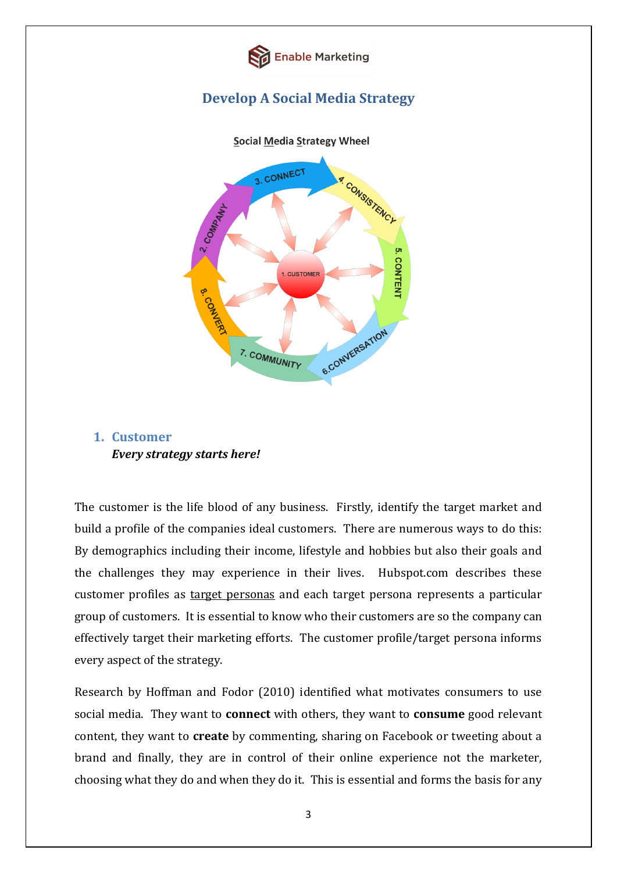

# **Develop A Social Media Strategy**

<span id="page-3-0"></span>

# <span id="page-3-1"></span>**1. Customer** *Every strategy starts here!*

The customer is the life blood of any business. Firstly, identify the target market and build a profile of the companies ideal customers. There are numerous ways to do this: By demographics including their income, lifestyle and hobbies but also their goals and the challenges they may experience in their lives. Hubspot.com describes these customer profiles as [target personas](http://blog.hubspot.com/blog/tabid/6307/bid/24760/3-Steps-to-Creating-Effective-Buyer-Personas-Marketing-Cast.aspx) and each target persona represents a particular group of customers. It is essential to know who their customers are so the company can effectively target their marketing efforts. The customer profile/target persona informs every aspect of the strategy.

Research by Hoffman and Fodor (2010) identified what motivates consumers to use social media. They want to **connect** with others, they want to **consume** good relevant content, they want to **create** by commenting, sharing on Facebook or tweeting about a brand and finally, they are in control of their online experience not the marketer, choosing what they do and when they do it. This is essential and forms the basis for any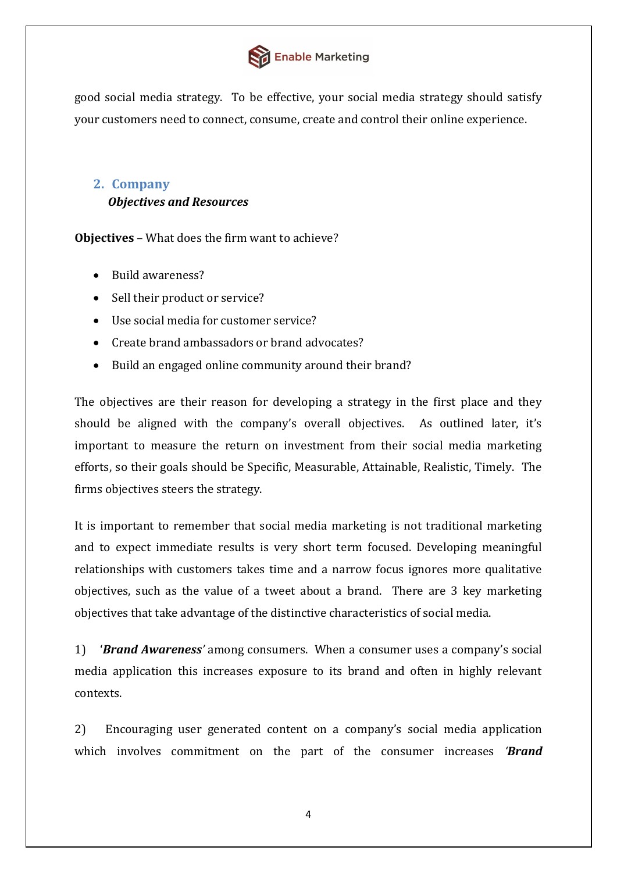

good social media strategy. To be effective, your social media strategy should satisfy your customers need to connect, consume, create and control their online experience.

# <span id="page-4-0"></span>**2. Company**  *Objectives and Resources*

**Objectives** – What does the firm want to achieve?

- Build awareness?
- Sell their product or service?
- Use social media for customer service?
- Create brand ambassadors or brand advocates?
- Build an engaged online community around their brand?

The objectives are their reason for developing a strategy in the first place and they should be aligned with the company's overall objectives. As outlined later, it's important to measure the return on investment from their social media marketing efforts, so their goals should be Specific, Measurable, Attainable, Realistic, Timely. The firms objectives steers the strategy.

It is important to remember that social media marketing is not traditional marketing and to expect immediate results is very short term focused. Developing meaningful relationships with customers takes time and a narrow focus ignores more qualitative objectives, such as the value of a tweet about a brand. There are 3 key marketing objectives that take advantage of the distinctive characteristics of social media.

1) '*Brand Awareness'* among consumers. When a consumer uses a company's social media application this increases exposure to its brand and often in highly relevant contexts.

2) Encouraging user generated content on a company's social media application which involves commitment on the part of the consumer increases *'Brand*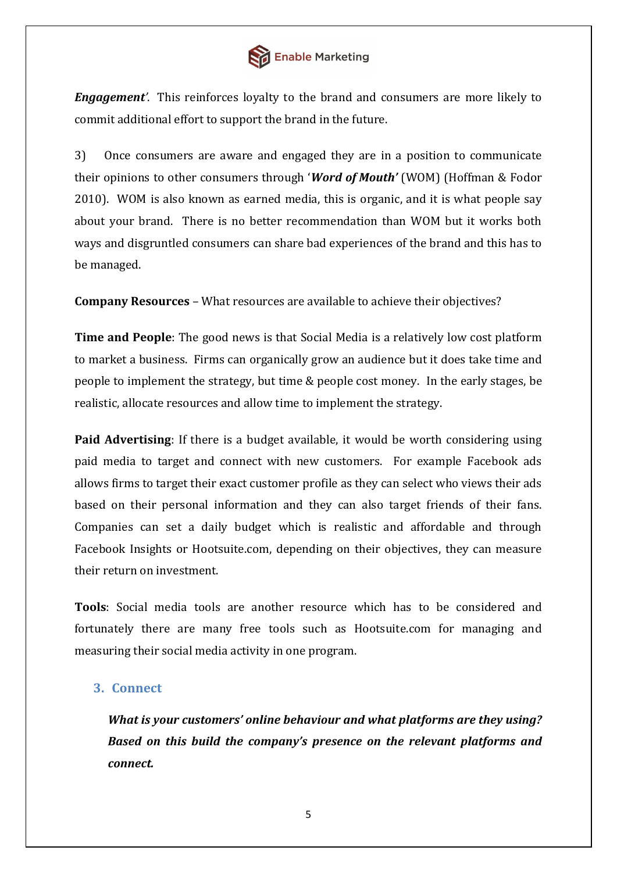

*Engagement'*. This reinforces loyalty to the brand and consumers are more likely to commit additional effort to support the brand in the future.

3) Once consumers are aware and engaged they are in a position to communicate their opinions to other consumers through '*Word of Mouth'* (WOM) (Hoffman & Fodor 2010). WOM is also known as earned media, this is organic, and it is what people say about your brand. There is no better recommendation than WOM but it works both ways and disgruntled consumers can share bad experiences of the brand and this has to be managed.

**Company Resources** – What resources are available to achieve their objectives?

**Time and People**: The good news is that Social Media is a relatively low cost platform to market a business. Firms can organically grow an audience but it does take time and people to implement the strategy, but time & people cost money. In the early stages, be realistic, allocate resources and allow time to implement the strategy.

**Paid Advertising**: If there is a budget available, it would be worth considering using paid media to target and connect with new customers. For example Facebook ads allows firms to target their exact customer profile as they can select who views their ads based on their personal information and they can also target friends of their fans. Companies can set a daily budget which is realistic and affordable and through Facebook Insights or Hootsuite.com, depending on their objectives, they can measure their return on investment.

**Tools**: Social media tools are another resource which has to be considered and fortunately there are many free tools such as Hootsuite.com for managing and measuring their social media activity in one program.

## <span id="page-5-0"></span>**3. Connect**

*What is your customers' online behaviour and what platforms are they using? Based on this build the company's presence on the relevant platforms and connect.*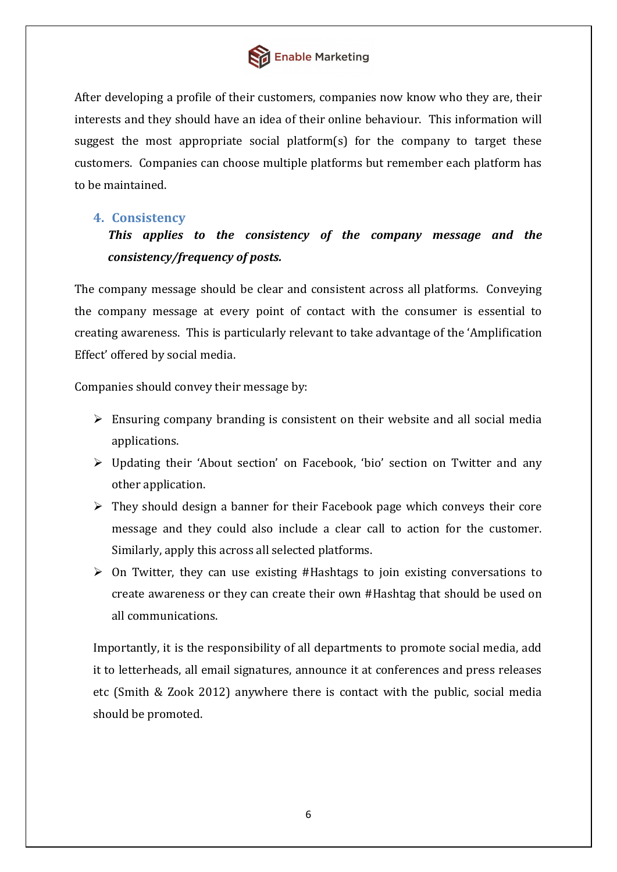

After developing a profile of their customers, companies now know who they are, their interests and they should have an idea of their online behaviour. This information will suggest the most appropriate social platform(s) for the company to target these customers. Companies can choose multiple platforms but remember each platform has to be maintained.

# <span id="page-6-0"></span>**4. Consistency**

# *This applies to the consistency of the company message and the consistency/frequency of posts.*

The company message should be clear and consistent across all platforms. Conveying the company message at every point of contact with the consumer is essential to creating awareness. This is particularly relevant to take advantage of the 'Amplification Effect' offered by social media.

Companies should convey their message by:

- $\triangleright$  Ensuring company branding is consistent on their website and all social media applications.
- Updating their 'About section' on Facebook, 'bio' section on Twitter and any other application.
- $\triangleright$  They should design a banner for their Facebook page which conveys their core message and they could also include a clear call to action for the customer. Similarly, apply this across all selected platforms.
- $\triangleright$  On Twitter, they can use existing #Hashtags to join existing conversations to create awareness or they can create their own #Hashtag that should be used on all communications.

Importantly, it is the responsibility of all departments to promote social media, add it to letterheads, all email signatures, announce it at conferences and press releases etc (Smith & Zook 2012) anywhere there is contact with the public, social media should be promoted.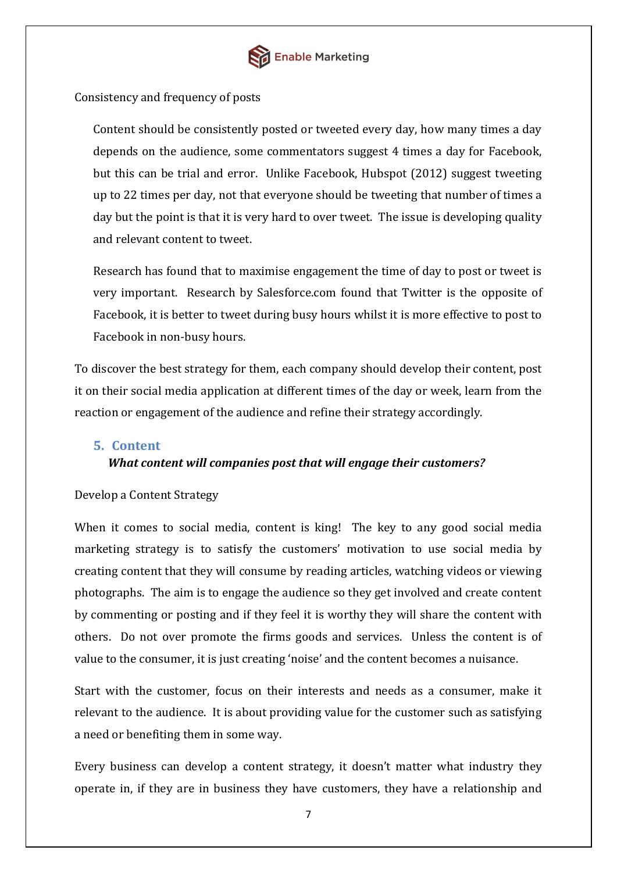

#### Consistency and frequency of posts

Content should be consistently posted or tweeted every day, how many times a day depends on the audience, some commentators suggest 4 times a day for Facebook, but this can be trial and error. Unlike Facebook, Hubspot (2012) suggest tweeting up to 22 times per day, not that everyone should be tweeting that number of times a day but the point is that it is very hard to over tweet. The issue is developing quality and relevant content to tweet.

Research has found that to maximise engagement the time of day to post or tweet is very important. Research by Salesforce.com found that Twitter is the opposite of Facebook, it is better to tweet during busy hours whilst it is more effective to post to Facebook in non-busy hours.

To discover the best strategy for them, each company should develop their content, post it on their social media application at different times of the day or week, learn from the reaction or engagement of the audience and refine their strategy accordingly.

#### <span id="page-7-0"></span>**5. Content**

#### *What content will companies post that will engage their customers?*

#### Develop a Content Strategy

When it comes to social media, content is king! The key to any good social media marketing strategy is to satisfy the customers' motivation to use social media by creating content that they will consume by reading articles, watching videos or viewing photographs. The aim is to engage the audience so they get involved and create content by commenting or posting and if they feel it is worthy they will share the content with others. Do not over promote the firms goods and services. Unless the content is of value to the consumer, it is just creating 'noise' and the content becomes a nuisance.

Start with the customer, focus on their interests and needs as a consumer, make it relevant to the audience. It is about providing value for the customer such as satisfying a need or benefiting them in some way.

Every business can develop a content strategy, it doesn't matter what industry they operate in, if they are in business they have customers, they have a relationship and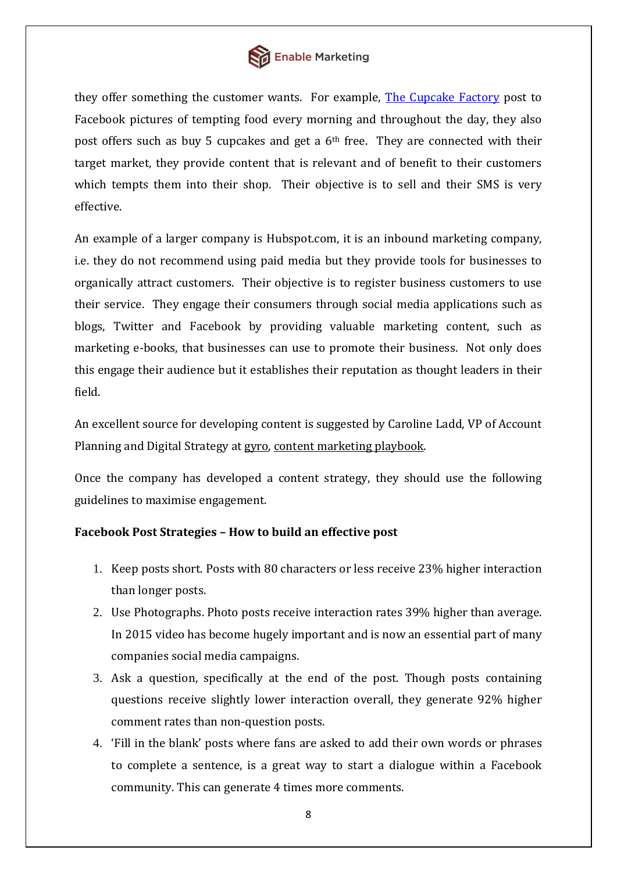

they offer something the customer wants. For example, [The Cupcake Factory](https://www.facebook.com/TheCupakeFactory) post to Facebook pictures of tempting food every morning and throughout the day, they also post offers such as buy 5 cupcakes and get a 6th free. They are connected with their target market, they provide content that is relevant and of benefit to their customers which tempts them into their shop. Their objective is to sell and their SMS is very effective.

An example of a larger company is Hubspot.com, it is an inbound marketing company, i.e. they do not recommend using paid media but they provide tools for businesses to organically attract customers. Their objective is to register business customers to use their service. They engage their consumers through social media applications such as blogs, Twitter and Facebook by providing valuable marketing content, such as marketing e-books, that businesses can use to promote their business. Not only does this engage their audience but it establishes their reputation as thought leaders in their field.

An excellent source for developing content is suggested by Caroline Ladd, VP of Account Planning and Digital Strategy at [gyro,](http://www.gyro.com/) [content marketing playbook.](http://www.contentmarketinginstitute.com/wp-content/uploads/2011/08/Content-Marketing-Playbook-2011.pdf)

Once the company has developed a content strategy, they should use the following guidelines to maximise engagement.

## **Facebook Post Strategies – How to build an effective post**

- 1. Keep posts short. Posts with 80 characters or less receive 23% higher interaction than longer posts.
- 2. Use Photographs. Photo posts receive interaction rates 39% higher than average. In 2015 video has become hugely important and is now an essential part of many companies social media campaigns.
- 3. Ask a question, specifically at the end of the post. Though posts containing questions receive slightly lower interaction overall, they generate 92% higher comment rates than non-question posts.
- 4. 'Fill in the blank' posts where fans are asked to add their own words or phrases to complete a sentence, is a great way to start a dialogue within a Facebook community. This can generate 4 times more comments.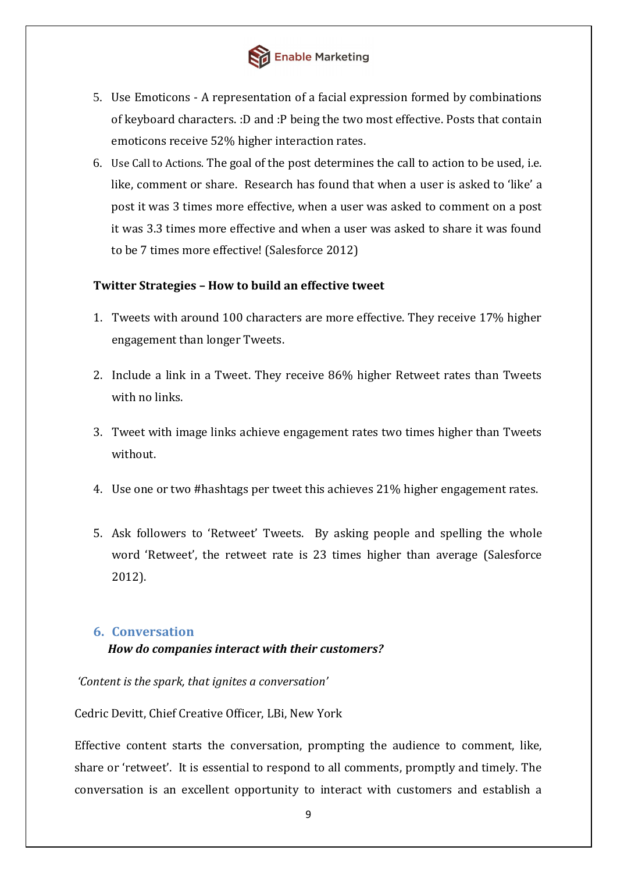

- 5. Use Emoticons A representation of a facial expression formed by combinations of keyboard characters. :D and :P being the two most effective. Posts that contain emoticons receive 52% higher interaction rates.
- 6. Use Call to Actions. The goal of the post determines the call to action to be used, i.e. like, comment or share. Research has found that when a user is asked to 'like' a post it was 3 times more effective, when a user was asked to comment on a post it was 3.3 times more effective and when a user was asked to share it was found to be 7 times more effective! (Salesforce 2012)

#### **Twitter Strategies – How to build an effective tweet**

- 1. Tweets with around 100 characters are more effective. They receive 17% higher engagement than longer Tweets.
- 2. Include a link in a Tweet. They receive 86% higher Retweet rates than Tweets with no links.
- 3. Tweet with image links achieve engagement rates two times higher than Tweets without.
- 4. Use one or two #hashtags per tweet this achieves 21% higher engagement rates.
- 5. Ask followers to 'Retweet' Tweets. By asking people and spelling the whole word 'Retweet', the retweet rate is 23 times higher than average (Salesforce 2012).

#### <span id="page-9-0"></span>**6. Conversation**

#### *How do companies interact with their customers?*

*'Content is the spark, that ignites a conversation'* 

Cedric Devitt, Chief Creative Officer, LBi, New York

Effective content starts the conversation, prompting the audience to comment, like, share or 'retweet'. It is essential to respond to all comments, promptly and timely. The conversation is an excellent opportunity to interact with customers and establish a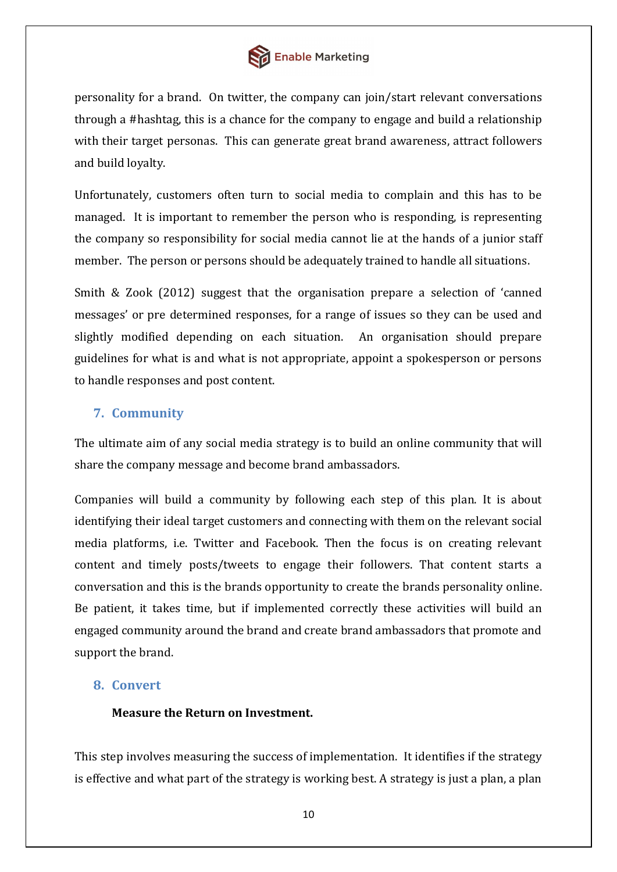

personality for a brand. On twitter, the company can join/start relevant conversations through a #hashtag, this is a chance for the company to engage and build a relationship with their target personas. This can generate great brand awareness, attract followers and build loyalty.

Unfortunately, customers often turn to social media to complain and this has to be managed. It is important to remember the person who is responding, is representing the company so responsibility for social media cannot lie at the hands of a junior staff member. The person or persons should be adequately trained to handle all situations.

Smith & Zook (2012) suggest that the organisation prepare a selection of 'canned messages' or pre determined responses, for a range of issues so they can be used and slightly modified depending on each situation. An organisation should prepare guidelines for what is and what is not appropriate, appoint a spokesperson or persons to handle responses and post content.

# <span id="page-10-0"></span>**7. Community**

The ultimate aim of any social media strategy is to build an online community that will share the company message and become brand ambassadors.

Companies will build a community by following each step of this plan. It is about identifying their ideal target customers and connecting with them on the relevant social media platforms, i.e. Twitter and Facebook. Then the focus is on creating relevant content and timely posts/tweets to engage their followers. That content starts a conversation and this is the brands opportunity to create the brands personality online. Be patient, it takes time, but if implemented correctly these activities will build an engaged community around the brand and create brand ambassadors that promote and support the brand.

## <span id="page-10-1"></span>**8. Convert**

## **Measure the Return on Investment.**

This step involves measuring the success of implementation. It identifies if the strategy is effective and what part of the strategy is working best. A strategy is just a plan, a plan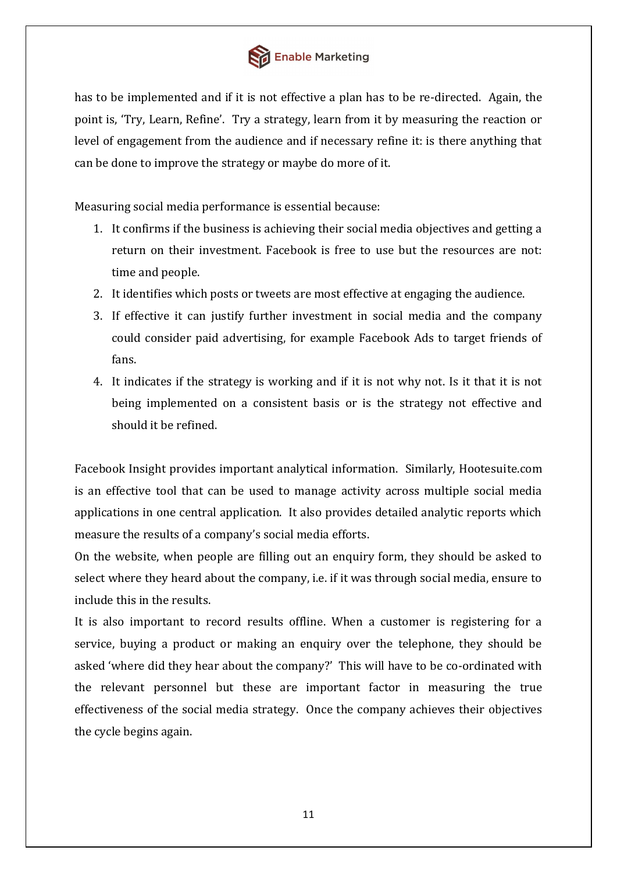

has to be implemented and if it is not effective a plan has to be re-directed. Again, the point is, 'Try, Learn, Refine'. Try a strategy, learn from it by measuring the reaction or level of engagement from the audience and if necessary refine it: is there anything that can be done to improve the strategy or maybe do more of it.

Measuring social media performance is essential because:

- 1. It confirms if the business is achieving their social media objectives and getting a return on their investment. Facebook is free to use but the resources are not: time and people.
- 2. It identifies which posts or tweets are most effective at engaging the audience.
- 3. If effective it can justify further investment in social media and the company could consider paid advertising, for example Facebook Ads to target friends of fans.
- 4. It indicates if the strategy is working and if it is not why not. Is it that it is not being implemented on a consistent basis or is the strategy not effective and should it be refined.

Facebook Insight provides important analytical information. Similarly, Hootesuite.com is an effective tool that can be used to manage activity across multiple social media applications in one central application. It also provides detailed analytic reports which measure the results of a company's social media efforts.

On the website, when people are filling out an enquiry form, they should be asked to select where they heard about the company, i.e. if it was through social media, ensure to include this in the results.

It is also important to record results offline. When a customer is registering for a service, buying a product or making an enquiry over the telephone, they should be asked 'where did they hear about the company?' This will have to be co-ordinated with the relevant personnel but these are important factor in measuring the true effectiveness of the social media strategy. Once the company achieves their objectives the cycle begins again.